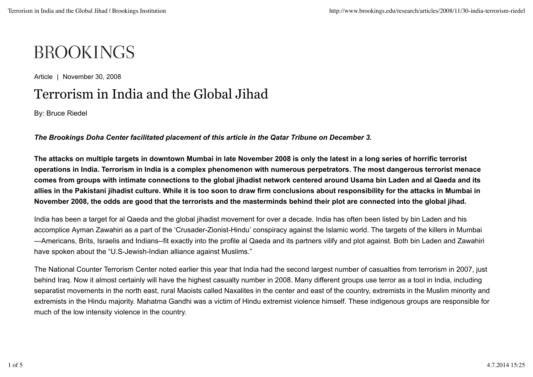## **BROOKINGS**

Article | November 30, 2008

## Terrorism in India and the Global Jihad

By: Bruce Riedel

*The Brookings Doha Center facilitated placement of this article in the Qatar Tribune on December 3.*

**The attacks on multiple targets in downtown Mumbai in late November 2008 is only the latest in a long series of horrific terrorist operations in India. Terrorism in India is a complex phenomenon with numerous perpetrators. The most dangerous terrorist menace comes from groups with intimate connections to the global jihadist network centered around Usama bin Laden and al Qaeda and its allies in the Pakistani jihadist culture. While it is too soon to draw firm conclusions about responsibility for the attacks in Mumbai in November 2008, the odds are good that the terrorists and the masterminds behind their plot are connected into the global jihad.**

India has been a target for al Qaeda and the global jihadist movement for over a decade. India has often been listed by bin Laden and his accomplice Ayman Zawahiri as a part of the 'Crusader-Zionist-Hindu' conspiracy against the Islamic world. The targets of the killers in Mumbai —Americans, Brits, Israelis and Indians--fit exactly into the profile al Qaeda and its partners vilify and plot against. Both bin Laden and Zawahiri have spoken about the "U.S-Jewish-Indian alliance against Muslims."

The National Counter Terrorism Center noted earlier this year that India had the second largest number of casualties from terrorism in 2007, just behind Iraq. Now it almost certainly will have the highest casualty number in 2008. Many different groups use terror as a tool in India, including separatist movements in the north east, rural Maoists called Naxalites in the center and east of the country, extremists in the Muslim minority and extremists in the Hindu majority. Mahatma Gandhi was a victim of Hindu extremist violence himself. These indigenous groups are responsible for much of the low intensity violence in the country.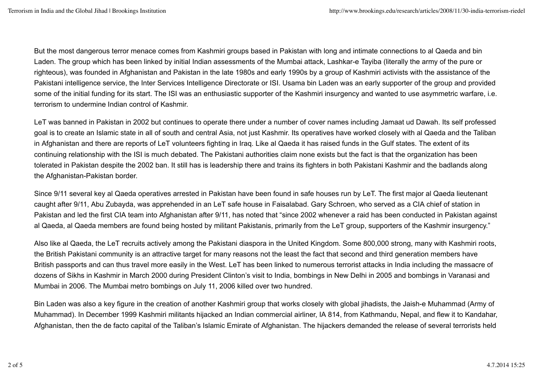But the most dangerous terror menace comes from Kashmiri groups based in Pakistan with long and intimate connections to al Qaeda and bin Laden. The group which has been linked by initial Indian assessments of the Mumbai attack, Lashkar-e Tayiba (literally the army of the pure or righteous), was founded in Afghanistan and Pakistan in the late 1980s and early 1990s by a group of Kashmiri activists with the assistance of the Pakistani intelligence service, the Inter Services Intelligence Directorate or ISI. Usama bin Laden was an early supporter of the group and provided some of the initial funding for its start. The ISI was an enthusiastic supporter of the Kashmiri insurgency and wanted to use asymmetric warfare, i.e. terrorism to undermine Indian control of Kashmir.

LeT was banned in Pakistan in 2002 but continues to operate there under a number of cover names including Jamaat ud Dawah. Its self professed goal is to create an Islamic state in all of south and central Asia, not just Kashmir. Its operatives have worked closely with al Qaeda and the Taliban in Afghanistan and there are reports of LeT volunteers fighting in Iraq. Like al Qaeda it has raised funds in the Gulf states. The extent of its continuing relationship with the ISI is much debated. The Pakistani authorities claim none exists but the fact is that the organization has been tolerated in Pakistan despite the 2002 ban. It still has is leadership there and trains its fighters in both Pakistani Kashmir and the badlands along the Afghanistan-Pakistan border.

Since 9/11 several key al Qaeda operatives arrested in Pakistan have been found in safe houses run by LeT. The first major al Qaeda lieutenant caught after 9/11, Abu Zubayda, was apprehended in an LeT safe house in Faisalabad. Gary Schroen, who served as a CIA chief of station in Pakistan and led the first CIA team into Afghanistan after 9/11, has noted that "since 2002 whenever a raid has been conducted in Pakistan against al Qaeda, al Qaeda members are found being hosted by militant Pakistanis, primarily from the LeT group, supporters of the Kashmir insurgency."

Also like al Qaeda, the LeT recruits actively among the Pakistani diaspora in the United Kingdom. Some 800,000 strong, many with Kashmiri roots, the British Pakistani community is an attractive target for many reasons not the least the fact that second and third generation members have British passports and can thus travel more easily in the West. LeT has been linked to numerous terrorist attacks in India including the massacre of dozens of Sikhs in Kashmir in March 2000 during President Clinton's visit to India, bombings in New Delhi in 2005 and bombings in Varanasi and Mumbai in 2006. The Mumbai metro bombings on July 11, 2006 killed over two hundred.

Bin Laden was also a key figure in the creation of another Kashmiri group that works closely with global jihadists, the Jaish-e Muhammad (Army of Muhammad). In December 1999 Kashmiri militants hijacked an Indian commercial airliner, IA 814, from Kathmandu, Nepal, and flew it to Kandahar, Afghanistan, then the de facto capital of the Taliban's Islamic Emirate of Afghanistan. The hijackers demanded the release of several terrorists held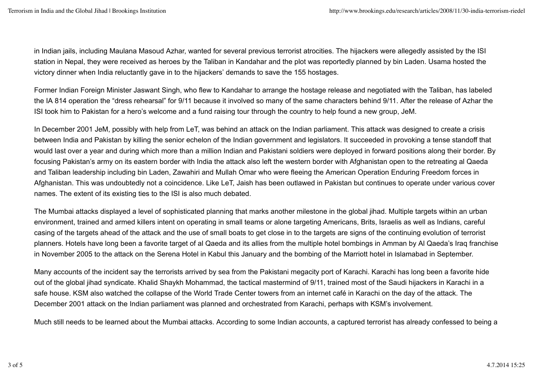in Indian jails, including Maulana Masoud Azhar, wanted for several previous terrorist atrocities. The hijackers were allegedly assisted by the ISI station in Nepal, they were received as heroes by the Taliban in Kandahar and the plot was reportedly planned by bin Laden. Usama hosted the victory dinner when India reluctantly gave in to the hijackers' demands to save the 155 hostages.

Former Indian Foreign Minister Jaswant Singh, who flew to Kandahar to arrange the hostage release and negotiated with the Taliban, has labeled the IA 814 operation the "dress rehearsal" for 9/11 because it involved so many of the same characters behind 9/11. After the release of Azhar the ISI took him to Pakistan for a hero's welcome and a fund raising tour through the country to help found a new group, JeM.

In December 2001 JeM, possibly with help from LeT, was behind an attack on the Indian parliament. This attack was designed to create a crisis between India and Pakistan by killing the senior echelon of the Indian government and legislators. It succeeded in provoking a tense standoff that would last over a year and during which more than a million Indian and Pakistani soldiers were deployed in forward positions along their border. By focusing Pakistan's army on its eastern border with India the attack also left the western border with Afghanistan open to the retreating al Qaeda and Taliban leadership including bin Laden, Zawahiri and Mullah Omar who were fleeing the American Operation Enduring Freedom forces in Afghanistan. This was undoubtedly not a coincidence. Like LeT, Jaish has been outlawed in Pakistan but continues to operate under various cover names. The extent of its existing ties to the ISI is also much debated.

The Mumbai attacks displayed a level of sophisticated planning that marks another milestone in the global jihad. Multiple targets within an urban environment, trained and armed killers intent on operating in small teams or alone targeting Americans, Brits, Israelis as well as Indians, careful casing of the targets ahead of the attack and the use of small boats to get close in to the targets are signs of the continuing evolution of terrorist planners. Hotels have long been a favorite target of al Qaeda and its allies from the multiple hotel bombings in Amman by Al Qaeda's Iraq franchise in November 2005 to the attack on the Serena Hotel in Kabul this January and the bombing of the Marriott hotel in Islamabad in September.

Many accounts of the incident say the terrorists arrived by sea from the Pakistani megacity port of Karachi. Karachi has long been a favorite hide out of the global jihad syndicate. Khalid Shaykh Mohammad, the tactical mastermind of 9/11, trained most of the Saudi hijackers in Karachi in a safe house. KSM also watched the collapse of the World Trade Center towers from an internet café in Karachi on the day of the attack. The December 2001 attack on the Indian parliament was planned and orchestrated from Karachi, perhaps with KSM's involvement.

Much still needs to be learned about the Mumbai attacks. According to some Indian accounts, a captured terrorist has already confessed to being a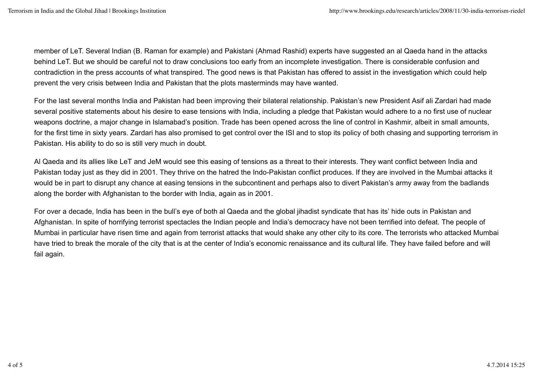member of LeT. Several Indian (B. Raman for example) and Pakistani (Ahmad Rashid) experts have suggested an al Qaeda hand in the attacks behind LeT. But we should be careful not to draw conclusions too early from an incomplete investigation. There is considerable confusion and contradiction in the press accounts of what transpired. The good news is that Pakistan has offered to assist in the investigation which could help prevent the very crisis between India and Pakistan that the plots masterminds may have wanted.

For the last several months India and Pakistan had been improving their bilateral relationship. Pakistan's new President Asif ali Zardari had made several positive statements about his desire to ease tensions with India, including a pledge that Pakistan would adhere to a no first use of nuclear weapons doctrine, a major change in Islamabad's position. Trade has been opened across the line of control in Kashmir, albeit in small amounts, for the first time in sixty years. Zardari has also promised to get control over the ISI and to stop its policy of both chasing and supporting terrorism in Pakistan. His ability to do so is still very much in doubt.

Al Qaeda and its allies like LeT and JeM would see this easing of tensions as a threat to their interests. They want conflict between India and Pakistan today just as they did in 2001. They thrive on the hatred the Indo-Pakistan conflict produces. If they are involved in the Mumbai attacks it would be in part to disrupt any chance at easing tensions in the subcontinent and perhaps also to divert Pakistan's army away from the badlands along the border with Afghanistan to the border with India, again as in 2001.

For over a decade, India has been in the bull's eye of both al Qaeda and the global jihadist syndicate that has its' hide outs in Pakistan and Afghanistan. In spite of horrifying terrorist spectacles the Indian people and India's democracy have not been terrified into defeat. The people of Mumbai in particular have risen time and again from terrorist attacks that would shake any other city to its core. The terrorists who attacked Mumbai have tried to break the morale of the city that is at the center of India's economic renaissance and its cultural life. They have failed before and will fail again.